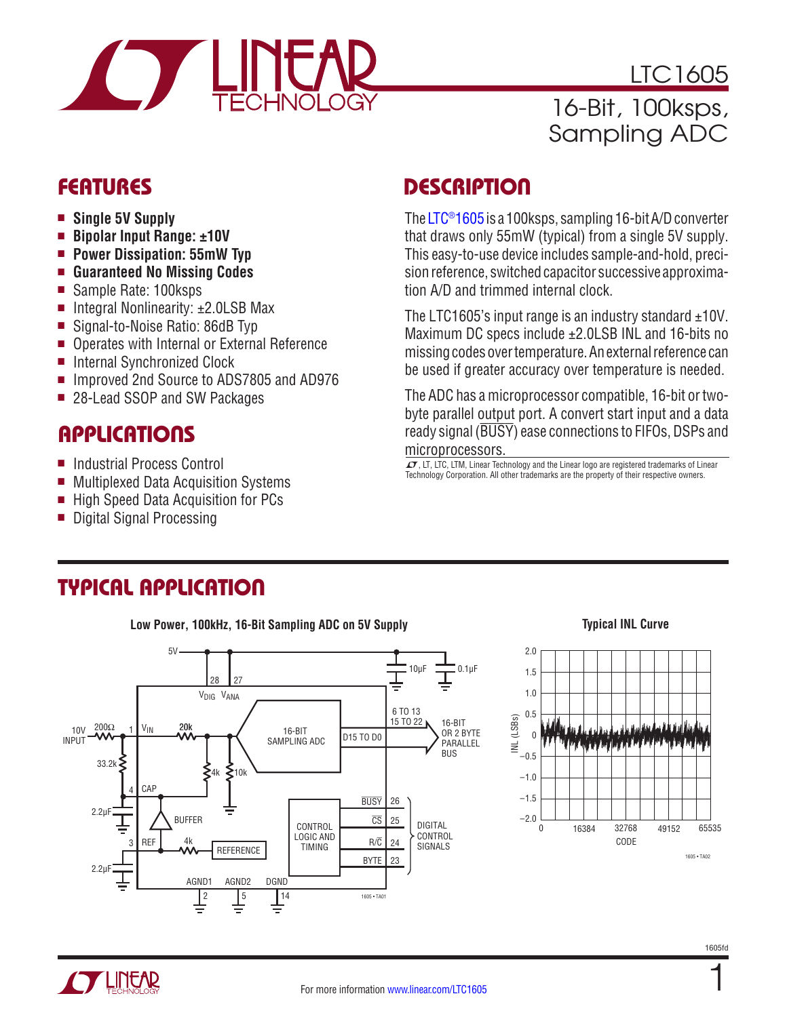

LTC1605 16-Bit, 100ksps, Sampling ADC

- **n** Single 5V Supply
- Bipolar Input Range: ±10V
- **Power Dissipation: 55mW Typ**
- Guaranteed No Missing Codes
- Sample Rate: 100ksps
- Integral Nonlinearity:  $±2.0LSB$  Max
- Signal-to-Noise Ratio: 86dB Typ
- Operates with Internal or External Reference
- Internal Synchronized Clock
- Improved 2nd Source to ADS7805 and AD976
- 28-Lead SSOP and SW Packages

## **APPLICATIONS**

- Industrial Process Control
- Multiplexed Data Acquisition Systems
- High Speed Data Acquisition for PCs
- Digital Signal Processing

# FEATURES DESCRIPTION

The [LTC®1605](http://www.linear.com/LTC1605) is a 100ksps, sampling 16-bit A/D converter that draws only 55mW (typical) from a single 5V supply. This easy-to-use device includes sample-and-hold, precision reference, switched capacitor successive approximation A/D and trimmed internal clock.

The LTC1605's input range is an industry standard  $\pm$ 10V. Maximum DC specs include ±2.0LSB INL and 16-bits no missing codes over temperature. An external reference can be used if greater accuracy over temperature is needed.

The ADC has a microprocessor compatible, 16-bit or twobyte parallel output port. A convert start input and a data ready signal (BUSY) ease connections to FIFOs, DSPs and microprocessors.

 $LT$ , LT, LTC, LTM, Linear Technology and the Linear logo are registered trademarks of Linear Technology Corporation. All other trademarks are the property of their respective owners.

## TYPICAL APPLICATION

**Low Power, 100kHz, 16-Bit Sampling ADC on 5V Supply**



#### **Typical INL Curve**

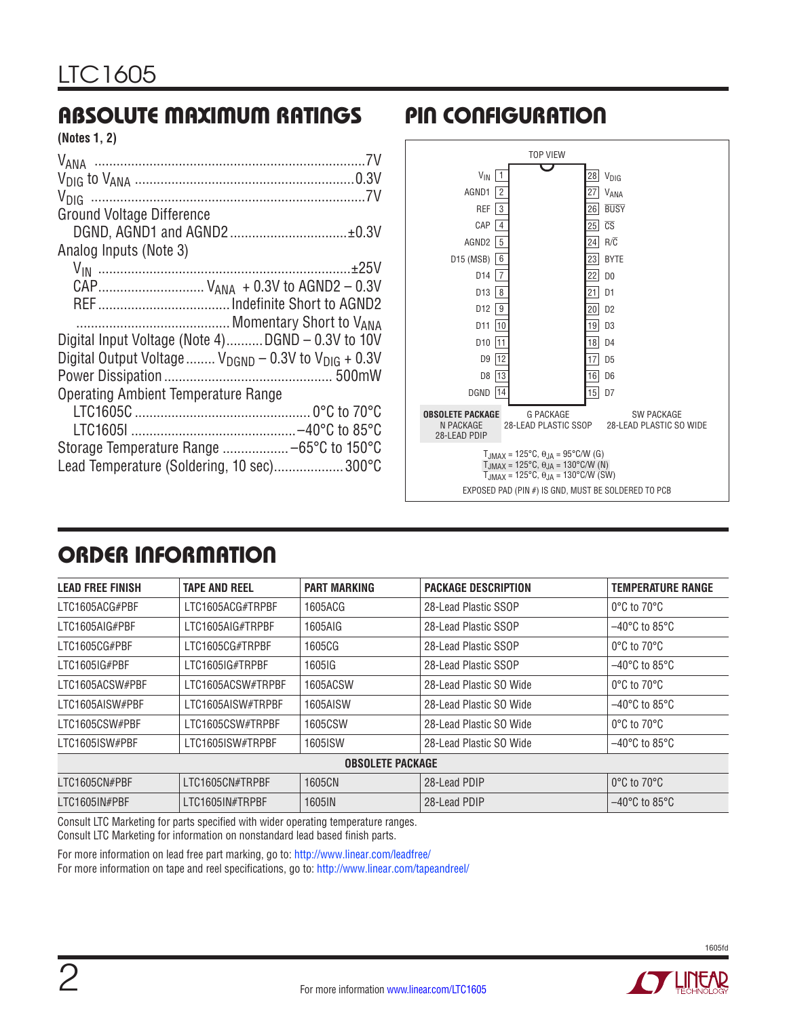# ABSOLUTE MAXIMUM RATINGS PIN CONFIGURATION

| (Notes 1, 2) |  |  |
|--------------|--|--|
|--------------|--|--|

| <b>Ground Voltage Difference</b>                             |
|--------------------------------------------------------------|
| DGND, AGND1 and AGND2 ±0.3V                                  |
| Analog Inputs (Note 3)                                       |
|                                                              |
| CAP V <sub>ANA</sub> + 0.3V to AGND2 - 0.3V                  |
|                                                              |
|                                                              |
| Digital Input Voltage (Note 4)DGND - 0.3V to 10V             |
| Digital Output Voltage $V_{DGND}$ – 0.3V to $V_{DIG}$ + 0.3V |
|                                                              |
| <b>Operating Ambient Temperature Range</b>                   |
|                                                              |
|                                                              |
|                                                              |
| Lead Temperature (Soldering, 10 sec)300°C                    |



# ORDER INFORMATION

| <b>LEAD FREE FINISH</b> | <b>TAPE AND REEL</b> | <b>PART MARKING</b> | <b>PACKAGE DESCRIPTION</b> | <b>TEMPERATURE RANGE</b>           |  |  |  |
|-------------------------|----------------------|---------------------|----------------------------|------------------------------------|--|--|--|
| LTC1605ACG#PBF          | LTC1605ACG#TRPBF     | 1605ACG             | 28-Lead Plastic SSOP       | $0^{\circ}$ C to $70^{\circ}$ C    |  |  |  |
| LTC1605AIG#PBF          | LTC1605AIG#TRPBF     | 1605AIG             | 28-Lead Plastic SSOP       | $-40^{\circ}$ C to 85 $^{\circ}$ C |  |  |  |
| LTC1605CG#PBF           | LTC1605CG#TRPBF      | 1605CG              | 28-Lead Plastic SSOP       | $0^{\circ}$ C to 70 $^{\circ}$ C   |  |  |  |
| LTC1605IG#PBF           | LTC1605IG#TRPBF      | 1605IG              | 28-Lead Plastic SSOP       | $-40^{\circ}$ C to 85 $^{\circ}$ C |  |  |  |
| LTC1605ACSW#PBF         | LTC1605ACSW#TRPBF    | 1605ACSW            | 28-Lead Plastic SO Wide    | $0^{\circ}$ C to $70^{\circ}$ C    |  |  |  |
| LTC1605AISW#PBF         | LTC1605AISW#TRPBF    | 1605AISW            | 28-Lead Plastic SO Wide    | $-40^{\circ}$ C to 85 $^{\circ}$ C |  |  |  |
| LTC1605CSW#PBF          | LTC1605CSW#TRPBF     | 1605CSW             | 28-Lead Plastic SO Wide    | $0^{\circ}$ C to $70^{\circ}$ C    |  |  |  |
| LTC1605ISW#PBF          | LTC1605ISW#TRPBF     | 1605ISW             | 28-Lead Plastic SO Wide    | $-40^{\circ}$ C to 85 $^{\circ}$ C |  |  |  |
| <b>OBSOLETE PACKAGE</b> |                      |                     |                            |                                    |  |  |  |
| LTC1605CN#PBF           | LTC1605CN#TRPBF      | 1605CN              | 28-Lead PDIP               | 0°C to 70°C                        |  |  |  |
| LTC1605IN#PBF           | LTC1605IN#TRPBF      | 1605IN              | 28-Lead PDIP               | $-40^{\circ}$ C to 85 $^{\circ}$ C |  |  |  |

Consult LTC Marketing for parts specified with wider operating temperature ranges. Consult LTC Marketing for information on nonstandard lead based finish parts.

For more information on lead free part marking, go to: <http://www.linear.com/leadfree/> For more information on tape and reel specifications, go to: <http://www.linear.com/tapeandreel/>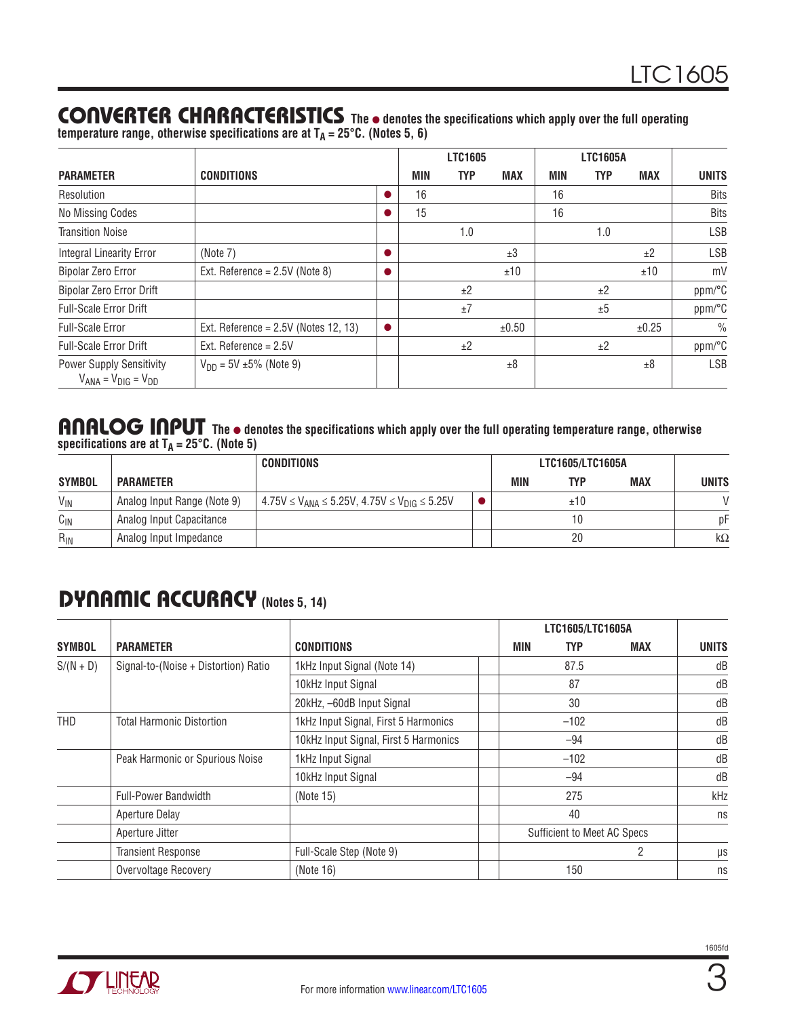### CONVERTER CHARACTERISTICS The  $\bullet$  denotes the specifications which apply over the full operating **temperature range, otherwise specifications are at TA = 25°C. (Notes 5, 6)**

|                                                                 |                                        |     | LTC1605    |            |            | <b>LTC1605A</b> |            |               |
|-----------------------------------------------------------------|----------------------------------------|-----|------------|------------|------------|-----------------|------------|---------------|
| <b>PARAMETER</b>                                                | <b>CONDITIONS</b>                      | MIN | <b>TYP</b> | <b>MAX</b> | <b>MIN</b> | <b>TYP</b>      | <b>MAX</b> | <b>UNITS</b>  |
| Resolution                                                      |                                        | 16  |            |            | 16         |                 |            | <b>Bits</b>   |
| No Missing Codes                                                |                                        | 15  |            |            | 16         |                 |            | <b>Bits</b>   |
| <b>Transition Noise</b>                                         |                                        |     | 1.0        |            |            | 1.0             |            | <b>LSB</b>    |
| <b>Integral Linearity Error</b>                                 | (Note 7)                               |     |            | ±3         |            |                 | ±2         | <b>LSB</b>    |
| <b>Bipolar Zero Error</b>                                       | Ext. Reference = $2.5V$ (Note 8)       |     |            | ±10        |            |                 | ±10        | mV            |
| Bipolar Zero Error Drift                                        |                                        |     | ±2         |            |            | ±2              |            | ppm/°C        |
| <b>Full-Scale Error Drift</b>                                   |                                        |     | ±7         |            |            | ±5              |            | ppm/°C        |
| <b>Full-Scale Error</b>                                         | Ext. Reference = $2.5V$ (Notes 12, 13) |     |            | ±0.50      |            |                 | ±0.25      | $\frac{0}{0}$ |
| <b>Full-Scale Error Drift</b>                                   | Ext. Reference = $2.5V$                |     | ±2         |            |            | ±2              |            | ppm/°C        |
| <b>Power Supply Sensitivity</b><br>$V_{ANA} = V_{DIG} = V_{DD}$ | $V_{DD} = 5V \pm 5\%$ (Note 9)         |     |            | ±8         |            |                 | ±8         | <b>LSB</b>    |

#### ANALOG INPUT The  $\bullet$  denotes the specifications which apply over the full operating temperature range, otherwise **specifications are at TA = 25°C. (Note 5)**

|               |                             | <b>CONDITIONS</b>                                             |  |     | LTC1605/LTC1605A |            |              |
|---------------|-----------------------------|---------------------------------------------------------------|--|-----|------------------|------------|--------------|
| <b>SYMBOL</b> | <b>PARAMETER</b>            |                                                               |  | MIN | TYP              | <b>MAX</b> | <b>UNITS</b> |
| $V_{IN}$      | Analog Input Range (Note 9) | $4.75V \le V_{ANA} \le 5.25V$ , $4.75V \le V_{DIG} \le 5.25V$ |  |     | ±10              |            |              |
| $C_{IN}$      | Analog Input Capacitance    |                                                               |  |     |                  |            | рF           |
| $R_{IN}$      | Analog Input Impedance      |                                                               |  |     | 20               |            | $k\Omega$    |

# DYNAMIC ACCURACY **(Notes 5, 14)**

|               |                                      |                                       | LTC1605/LTC1605A |            |                                    |            |              |
|---------------|--------------------------------------|---------------------------------------|------------------|------------|------------------------------------|------------|--------------|
| <b>SYMBOL</b> | <b>PARAMETER</b>                     | <b>CONDITIONS</b>                     |                  | <b>MIN</b> | <b>TYP</b>                         | <b>MAX</b> | <b>UNITS</b> |
| $S/(N + D)$   | Signal-to-(Noise + Distortion) Ratio | 1kHz Input Signal (Note 14)           |                  |            | 87.5                               |            | dB           |
|               |                                      | 10kHz Input Signal                    |                  |            | 87                                 |            | dB           |
|               |                                      | 20kHz, -60dB Input Signal             |                  |            | 30                                 |            | dB           |
| THD           | <b>Total Harmonic Distortion</b>     | 1kHz Input Signal, First 5 Harmonics  |                  |            | $-102$                             |            | dB           |
|               |                                      | 10kHz Input Signal, First 5 Harmonics |                  |            | $-94$                              |            | dB           |
|               | Peak Harmonic or Spurious Noise      | 1kHz Input Signal                     |                  |            | $-102$                             |            | dB           |
|               |                                      | 10kHz Input Signal                    |                  |            | -94                                |            | dB           |
|               | <b>Full-Power Bandwidth</b>          | (Note 15)                             |                  |            | 275                                |            | kHz          |
|               | <b>Aperture Delay</b>                |                                       |                  |            | 40                                 |            | ns           |
|               | Aperture Jitter                      |                                       |                  |            | <b>Sufficient to Meet AC Specs</b> |            |              |
|               | <b>Transient Response</b>            | Full-Scale Step (Note 9)              |                  |            |                                    | 2          | $\mu s$      |
|               | Overvoltage Recovery                 | (Note 16)                             |                  |            | 150                                |            | ns           |

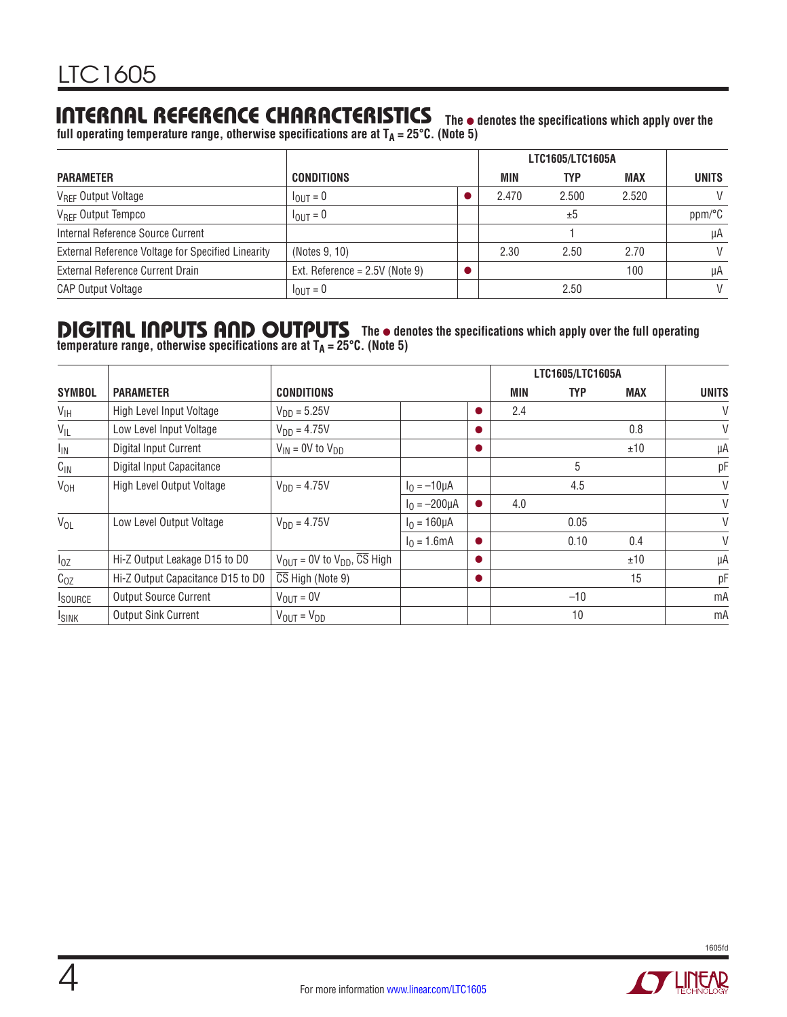### INTERNAL REFERENCE CHARACTERISTICS The  $\bullet$  denotes the specifications which apply over the

**full operating temperature range, otherwise specifications are at TA = 25°C. (Note 5)**

|                                                    |                                  |       | LTC1605/LTC1605A |       |              |
|----------------------------------------------------|----------------------------------|-------|------------------|-------|--------------|
| <b>PARAMETER</b>                                   | <b>CONDITIONS</b>                | MIN   | <b>TYP</b>       | MAX   | <b>UNITS</b> |
| V <sub>REF</sub> Output Voltage                    | $I_{\text{OUT}} = 0$             | 2.470 | 2.500            | 2.520 | V            |
| V <sub>REF</sub> Output Tempco                     | $I_{\text{OUT}} = 0$             |       | ±5               |       | ppm/°C       |
| Internal Reference Source Current                  |                                  |       |                  |       | μA           |
| External Reference Voltage for Specified Linearity | (Notes 9, 10)                    | 2.30  | 2.50             | 2.70  | V            |
| External Reference Current Drain                   | Ext. Reference = $2.5V$ (Note 9) |       |                  | 100   | μA           |
| <b>CAP Output Voltage</b>                          | $I_{\text{OUT}} = 0$             |       | 2.50             |       | $\vee$       |

#### **DIGITAL INPUTS AND OUTPUTS** The  $\bullet$  denotes the specifications which apply over the full operating **temperature range, otherwise specifications are at TA = 25°C. (Note 5)**

|                   |                                   |                                                    |                    |     | LTC1605/LTC1605A |            |              |
|-------------------|-----------------------------------|----------------------------------------------------|--------------------|-----|------------------|------------|--------------|
| <b>SYMBOL</b>     | <b>PARAMETER</b>                  | <b>CONDITIONS</b>                                  |                    | MIN | <b>TYP</b>       | <b>MAX</b> | <b>UNITS</b> |
| $V_{\text{IH}}$   | High Level Input Voltage          | $V_{DD} = 5.25V$                                   |                    | 2.4 |                  |            | V            |
| $V_{\parallel L}$ | Low Level Input Voltage           | $V_{DD} = 4.75V$                                   |                    |     |                  | 0.8        | V            |
| $I_{\text{IN}}$   | Digital Input Current             | $V_{IN}$ = 0V to $V_{DD}$                          |                    |     |                  | ±10        | μA           |
| $C_{IN}$          | Digital Input Capacitance         |                                                    |                    |     | 5                |            | pF           |
| V <sub>OH</sub>   | High Level Output Voltage         | $V_{DD} = 4.75V$                                   | $I_0 = -10 \mu A$  |     | 4.5              |            | V            |
|                   |                                   |                                                    | $I_0 = -200 \mu A$ | 4.0 |                  |            | V            |
| $V_{OL}$          | Low Level Output Voltage          | $V_{DD} = 4.75V$                                   | $I_0 = 160 \mu A$  |     | 0.05             |            | V            |
|                   |                                   |                                                    | $I_0 = 1.6mA$      |     | 0.10             | 0.4        | $\vee$       |
| $I_{0Z}$          | Hi-Z Output Leakage D15 to D0     | $V_{OIII}$ = 0V to $V_{DD}$ , $\overline{CS}$ High |                    |     |                  | ±10        | μA           |
| $C_{OZ}$          | Hi-Z Output Capacitance D15 to D0 | $\overline{CS}$ High (Note 9)                      |                    |     |                  | 15         | рF           |
| <b>I</b> SOURCE   | <b>Output Source Current</b>      | $V_{\text{OUT}} = 0V$                              |                    |     | $-10$            |            | mA           |
| <b>ISINK</b>      | <b>Output Sink Current</b>        | $V_{OUT} = V_{DD}$                                 |                    |     | 10               |            | mA           |

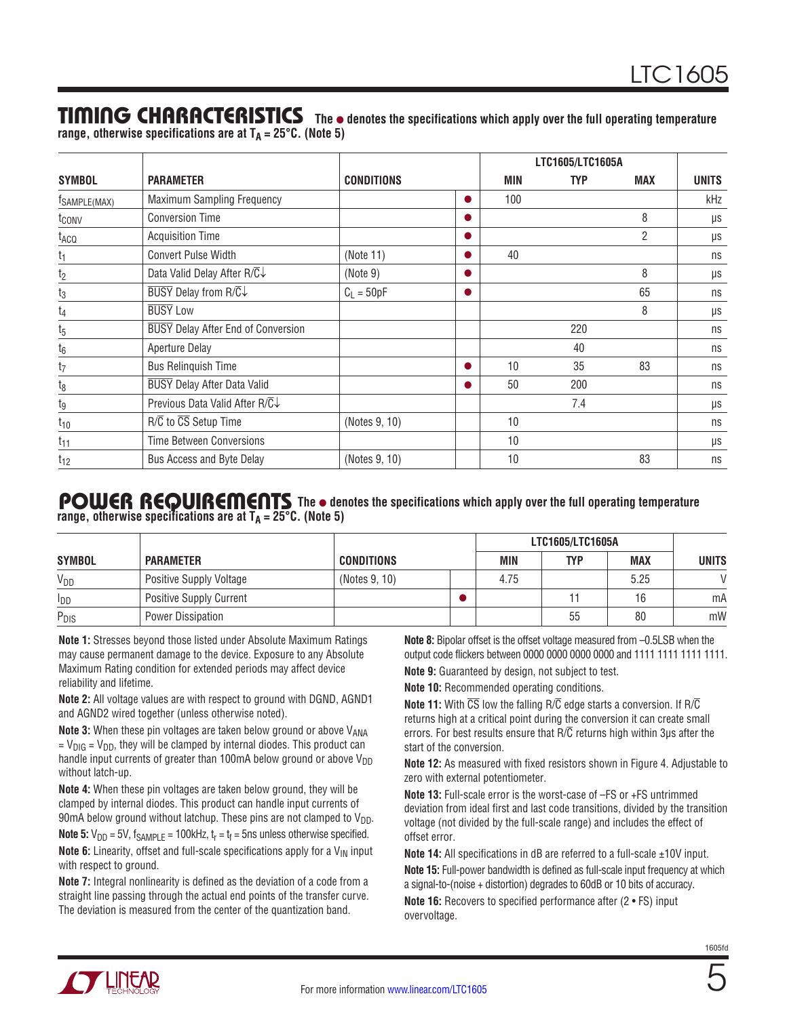### TIMING CHARACTERISTICS The  $\bullet$  denotes the specifications which apply over the full operating temperature

**range, otherwise specifications are at TA = 25°C. (Note 5)**

|                   |                                            |                   |           |            | LTC1605/LTC1605A |                |              |
|-------------------|--------------------------------------------|-------------------|-----------|------------|------------------|----------------|--------------|
| <b>SYMBOL</b>     | <b>PARAMETER</b>                           | <b>CONDITIONS</b> |           | <b>MIN</b> | <b>TYP</b>       | <b>MAX</b>     | <b>UNITS</b> |
| TSAMPLE(MAX)      | Maximum Sampling Frequency                 |                   | $\bullet$ | 100        |                  |                | kHz          |
| t <sub>conv</sub> | <b>Conversion Time</b>                     |                   |           |            |                  | 8              | μs           |
| t <sub>ACQ</sub>  | <b>Acquisition Time</b>                    |                   |           |            |                  | $\overline{2}$ | μs           |
| $t_1$             | <b>Convert Pulse Width</b>                 | (Note 11)         |           | 40         |                  |                | ns           |
| t <sub>2</sub>    | Data Valid Delay After R/C↓                | (Note 9)          |           |            |                  | 8              | μs           |
| $t_3$             | <b>BUSY</b> Delay from R/C↓                | $C_1 = 50pF$      | $\bullet$ |            |                  | 65             | ns           |
| $t_4$             | <b>BUSY Low</b>                            |                   |           |            |                  | 8              | μs           |
| $t_{5}$           | <b>BUSY</b> Delay After End of Conversion  |                   |           |            | 220              |                | ns           |
| $t_6$             | Aperture Delay                             |                   |           |            | 40               |                | ns           |
| t <sub>7</sub>    | <b>Bus Relinquish Time</b>                 |                   |           | 10         | 35               | 83             | ns           |
| $t_8$             | <b>BUSY</b> Delay After Data Valid         |                   |           | 50         | 200              |                | ns           |
| tg                | Previous Data Valid After $R/\overline{C}$ |                   |           |            | 7.4              |                | μs           |
| $t_{10}$          | R/C to CS Setup Time                       | (Notes 9, 10)     |           | 10         |                  |                | ns           |
| $t_{11}$          | Time Between Conversions                   |                   |           | 10         |                  |                | μs           |
| $t_{12}$          | Bus Access and Byte Delay                  | (Notes 9, 10)     |           | 10         |                  | 83             | ns           |

#### POWER REQUIREMENTS The  $\bullet$  denotes the specifications which apply over the full operating temperature **range, otherwise specifications are at TA = 25°C. (Note 5)**

|                        |                                |                   |            | LTC1605/LTC1605A |            |               |
|------------------------|--------------------------------|-------------------|------------|------------------|------------|---------------|
| <b>SYMBOL</b>          | <b>PARAMETER</b>               | <b>CONDITIONS</b> | <b>MIN</b> | TYP              | <b>MAX</b> | <b>UNITS</b>  |
| $V_{DD}$               | Positive Supply Voltage        | (Notes 9, 10)     | 4.75       |                  | 5.25       | $\mathcal{U}$ |
| <b>I</b> <sub>DD</sub> | <b>Positive Supply Current</b> |                   |            |                  | l b        | mA            |
| $P_{DIS}$              | Power Dissipation              |                   |            | 55               | 80         | mW            |

**Note 1:** Stresses beyond those listed under Absolute Maximum Ratings may cause permanent damage to the device. Exposure to any Absolute Maximum Rating condition for extended periods may affect device reliability and lifetime.

**Note 2:** All voltage values are with respect to ground with DGND, AGND1 and AGND2 wired together (unless otherwise noted).

**Note 3:** When these pin voltages are taken below ground or above V<sub>ANA</sub>  $= V_{\text{DIG}} = V_{\text{DD}}$ , they will be clamped by internal diodes. This product can handle input currents of greater than 100mA below ground or above  $V_{DD}$ without latch-up.

**Note 4:** When these pin voltages are taken below ground, they will be clamped by internal diodes. This product can handle input currents of 90mA below ground without latchup. These pins are not clamped to  $V_{DD}$ .

**Note 5:**  $V_{DD}$  = 5V,  $f_{SAMPLE}$  = 100kHz,  $t_r$  =  $t_f$  = 5ns unless otherwise specified. **Note 6:** Linearity, offset and full-scale specifications apply for a  $V_{IN}$  input with respect to ground.

**Note 7:** Integral nonlinearity is defined as the deviation of a code from a straight line passing through the actual end points of the transfer curve. The deviation is measured from the center of the quantization band.

**Note 8:** Bipolar offset is the offset voltage measured from –0.5LSB when the output code flickers between 0000 0000 0000 0000 and 1111 1111 1111 1111. **Note 9:** Guaranteed by design, not subject to test.

**Note 10:** Recommended operating conditions.

**Note 11:** With  $\overline{CS}$  low the falling R/C edge starts a conversion. If R/C returns high at a critical point during the conversion it can create small errors. For best results ensure that  $R/\overline{C}$  returns high within 3us after the start of the conversion.

**Note 12:** As measured with fixed resistors shown in Figure 4. Adjustable to zero with external potentiometer.

**Note 13:** Full-scale error is the worst-case of –FS or +FS untrimmed deviation from ideal first and last code transitions, divided by the transition voltage (not divided by the full-scale range) and includes the effect of offset error.

**Note 14:** All specifications in dB are referred to a full-scale ±10V input. **Note 15:** Full-power bandwidth is defined as full-scale input frequency at which a signal-to-(noise + distortion) degrades to 60dB or 10 bits of accuracy.

**Note 16:** Recovers to specified performance after (2 • FS) input overvoltage.



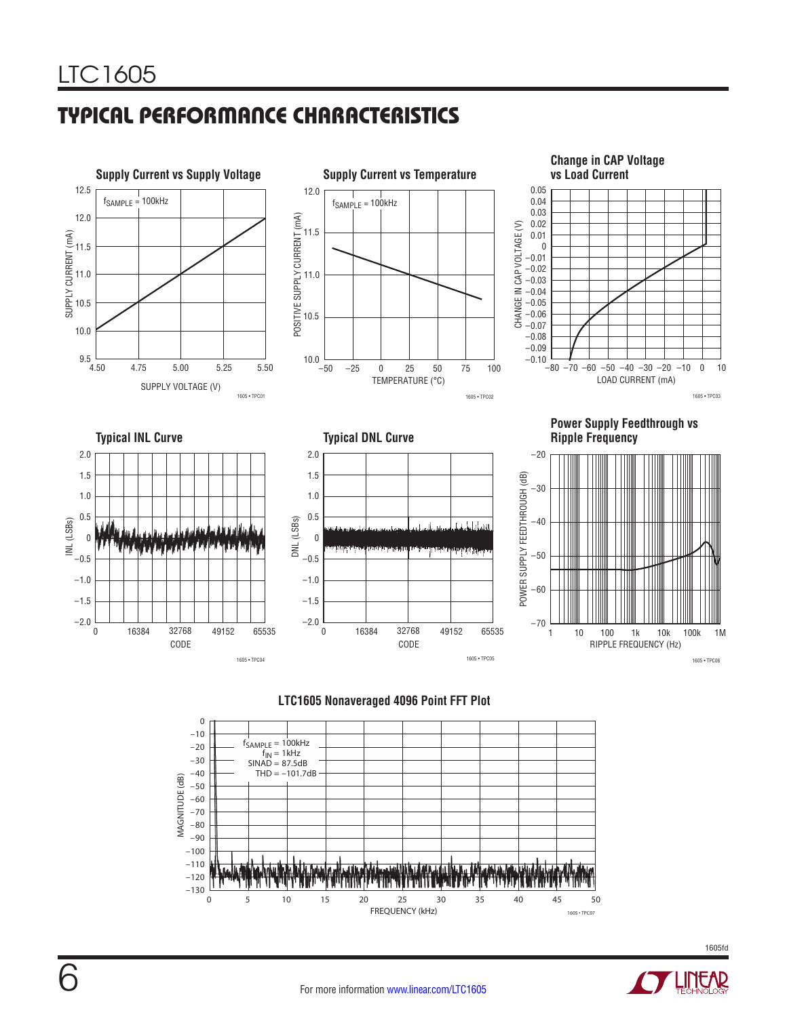# TYPICAL PERFORMANCE CHARACTERISTICS







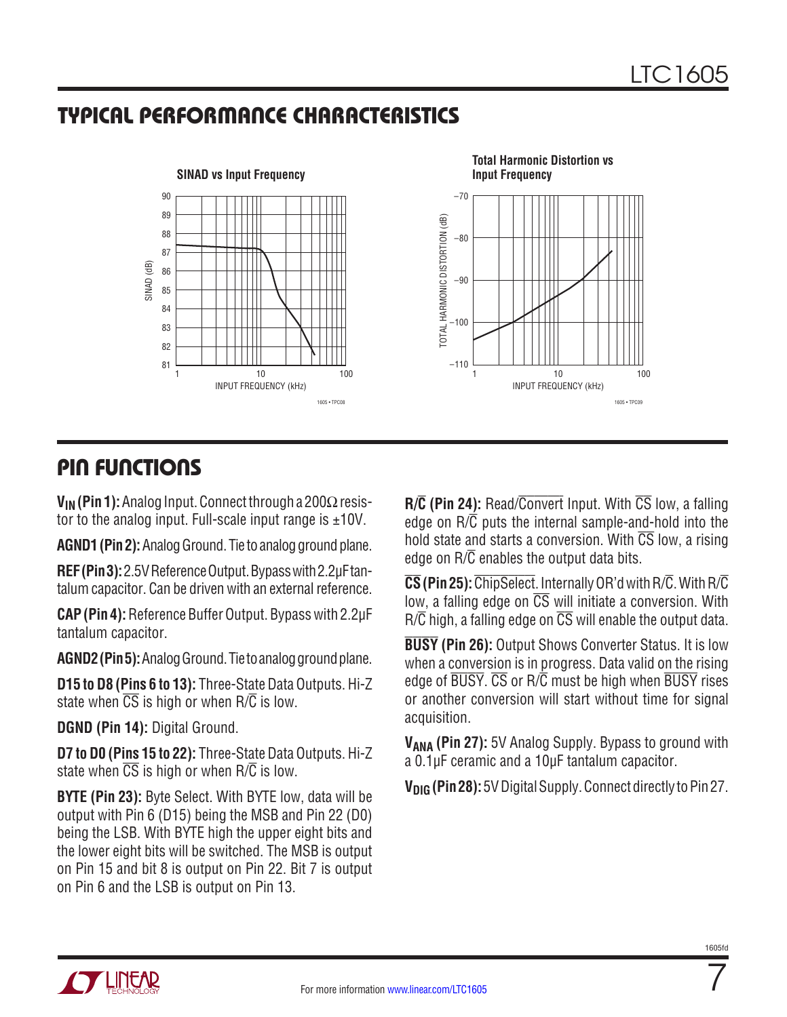# TYPICAL PERFORMANCE CHARACTERISTICS



# PIN FUNCTIONS

**VIN (Pin 1):** Analog Input. Connect through a 200Ω resistor to the analog input. Full-scale input range is  $\pm 10V$ .

**AGND1 (Pin 2):** Analog Ground. Tie to analog ground plane.

**REF (Pin 3):**2.5V Reference Output. Bypass with 2.2µF tantalum capacitor. Can be driven with an external reference.

**CAP (Pin 4):** Reference Buffer Output. Bypass with 2.2µF tantalum capacitor.

**AGND2(Pin 5):** Analog Ground. Tie to analog ground plane.

**D15 to D8 (Pins 6 to 13):** Three-State Data Outputs. Hi-Z state when  $\overline{CS}$  is high or when  $R/\overline{C}$  is low.

**DGND (Pin 14):** Digital Ground.

**D7 to D0 (Pins 15 to 22):** Three-State Data Outputs. Hi-Z state when  $\overline{CS}$  is high or when  $R/\overline{C}$  is low.

**BYTE (Pin 23):** Byte Select. With BYTE low, data will be output with Pin 6 (D15) being the MSB and Pin 22 (D0) being the LSB. With BYTE high the upper eight bits and the lower eight bits will be switched. The MSB is output on Pin 15 and bit 8 is output on Pin 22. Bit 7 is output on Pin 6 and the LSB is output on Pin 13.

**R/C (Pin 24):** Read/Convert Input. With CS low, a falling edge on R/C puts the internal sample-and-hold into the hold state and starts a conversion. With  $\overline{CS}$  low, a rising edge on  $R/\overline{C}$  enables the output data bits.

**CS(Pin 25):**ChipSelect. Internally OR'd with R/C. With R/C low, a falling edge on  $\overline{CS}$  will initiate a conversion. With  $R/\overline{C}$  high, a falling edge on  $\overline{CS}$  will enable the output data.

**BUSY (Pin 26):** Output Shows Converter Status. It is low when a conversion is in progress. Data valid on the rising edge of BUSY. CS or R/C must be high when BUSY rises or another conversion will start without time for signal acquisition.

**VANA (Pin 27):** 5V Analog Supply. Bypass to ground with a 0.1µF ceramic and a 10µF tantalum capacitor.

**V<sub>DIG</sub> (Pin 28):** 5V Digital Supply. Connect directly to Pin 27.

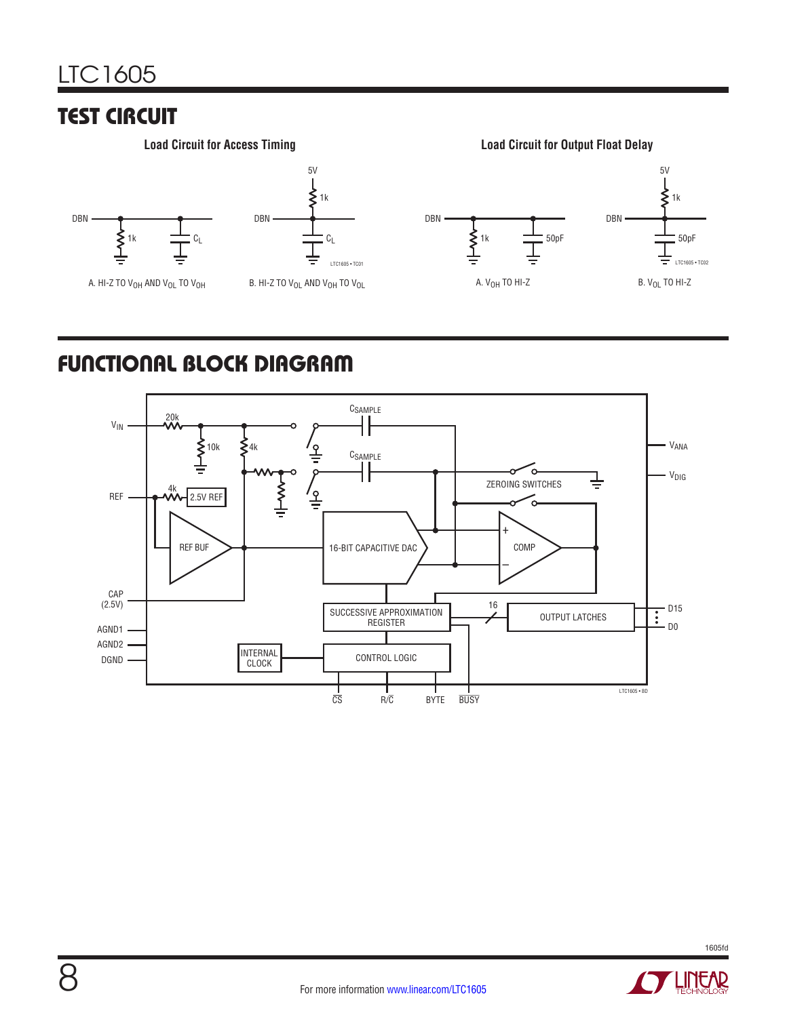# **TEST CIRCUIT**





5V

**Load Circuit for Access Timing Load Circuit for Output Float Delay**



# FUNCTIONAL BLOCK DIAGRAM



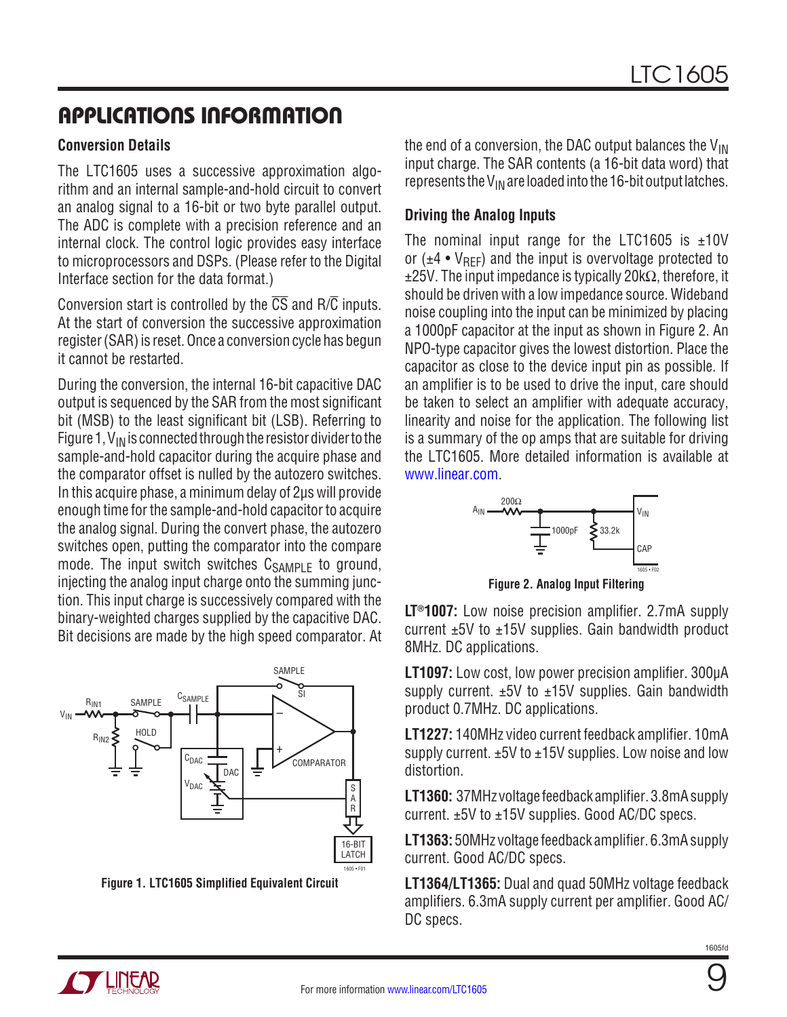#### **Conversion Details**

The LTC1605 uses a successive approximation algorithm and an internal sample-and-hold circuit to convert an analog signal to a 16-bit or two byte parallel output. The ADC is complete with a precision reference and an internal clock. The control logic provides easy interface to microprocessors and DSPs. (Please refer to the Digital Interface section for the data format.)

Conversion start is controlled by the  $\overline{CS}$  and  $R/\overline{C}$  inputs. At the start of conversion the successive approximation register (SAR) is reset. Once a conversion cycle has begun it cannot be restarted.

During the conversion, the internal 16-bit capacitive DAC output is sequenced by the SAR from the most significant bit (MSB) to the least significant bit (LSB). Referring to Figure 1,  $V_{IN}$  is connected through the resistor divider to the sample-and-hold capacitor during the acquire phase and the comparator offset is nulled by the autozero switches. In this acquire phase, a minimum delay of 2µs will provide enough time for the sample-and-hold capacitor to acquire the analog signal. During the convert phase, the autozero switches open, putting the comparator into the compare mode. The input switch switches  $C_{SAMPLE}$  to ground, injecting the analog input charge onto the summing junction. This input charge is successively compared with the binary-weighted charges supplied by the capacitive DAC. Bit decisions are made by the high speed comparator. At



**Figure 1. LTC1605 Simplified Equivalent Circuit**

the end of a conversion, the DAC output balances the  $V_{\text{IN}}$ input charge. The SAR contents (a 16-bit data word) that represents the  $V_{IN}$  are loaded into the 16-bit output latches.

### **Driving the Analog Inputs**

The nominal input range for the LTC1605 is  $\pm$ 10V or  $(\pm 4 \cdot V_{\text{BFE}})$  and the input is overvoltage protected to  $±25V$ . The input impedance is typically 20k $\Omega$ , therefore, it should be driven with a low impedance source. Wideband noise coupling into the input can be minimized by placing a 1000pF capacitor at the input as shown in Figure 2. An NPO-type capacitor gives the lowest distortion. Place the capacitor as close to the device input pin as possible. If an amplifier is to be used to drive the input, care should be taken to select an amplifier with adequate accuracy, linearity and noise for the application. The following list is a summary of the op amps that are suitable for driving the LTC1605. More detailed information is available at [www.linear.com.](http://www.linear.com)



**Figure 2. Analog Input Filtering**

**LT®1007:** Low noise precision amplifier. 2.7mA supply current  $±5V$  to  $±15V$  supplies. Gain bandwidth product 8MHz. DC applications.

**LT1097:** Low cost, low power precision amplifier. 300µA supply current.  $±5V$  to  $±15V$  supplies. Gain bandwidth product 0.7MHz. DC applications.

**LT1227:** 140MHz video current feedback amplifier. 10mA supply current. ±5V to ±15V supplies. Low noise and low distortion.

**LT1360:** 37MHz voltage feedback amplifier.3.8mA supply current. ±5V to ±15V supplies. Good AC/DC specs.

**LT1363:** 50MHz voltage feedback amplifier. 6.3mA supply current. Good AC/DC specs.

**LT1364/LT1365:** Dual and quad 50MHz voltage feedback amplifiers. 6.3mA supply current per amplifier. Good AC/ DC specs.

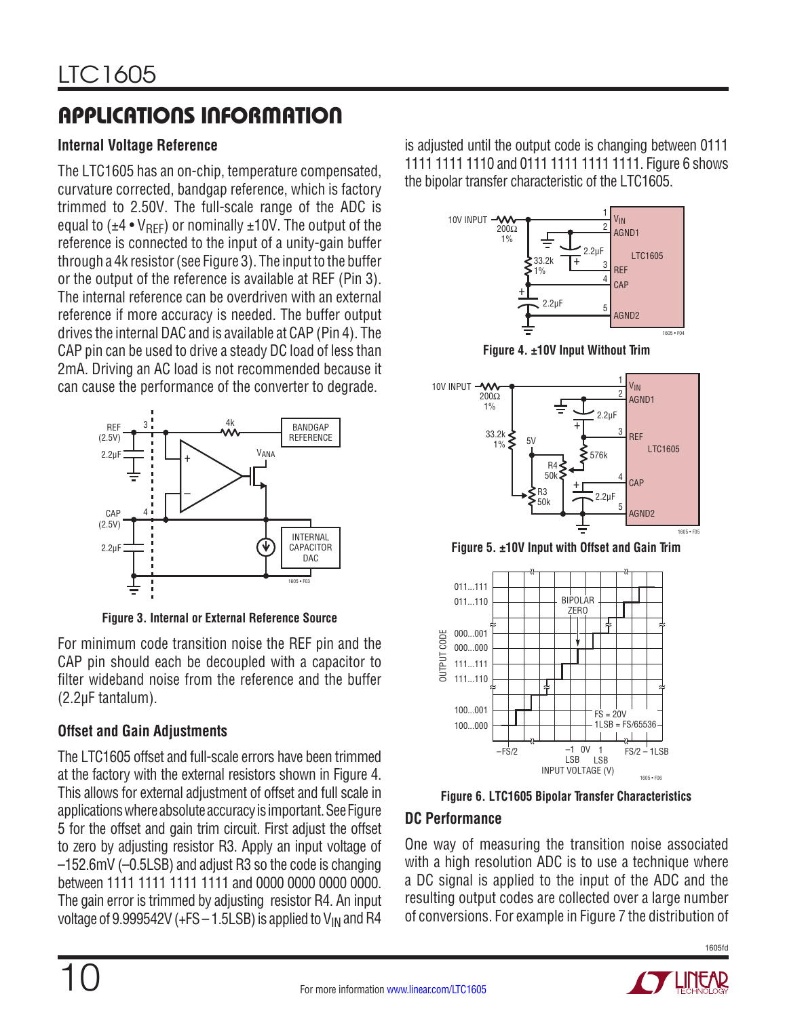### **Internal Voltage Reference**

The LTC1605 has an on-chip, temperature compensated, curvature corrected, bandgap reference, which is factory trimmed to 2.50V. The full-scale range of the ADC is equal to  $(\pm 4 \cdot V_{\text{RFF}})$  or nominally  $\pm 10V$ . The output of the reference is connected to the input of a unity-gain buffer through a 4k resistor (see Figure 3). The input to the buffer or the output of the reference is available at REF (Pin 3). The internal reference can be overdriven with an external reference if more accuracy is needed. The buffer output drives the internal DAC and is available at CAP (Pin 4). The CAP pin can be used to drive a steady DC load of less than 2mA. Driving an AC load is not recommended because it can cause the performance of the converter to degrade.



**Figure 3. Internal or External Reference Source**

For minimum code transition noise the REF pin and the CAP pin should each be decoupled with a capacitor to filter wideband noise from the reference and the buffer (2.2µF tantalum).

### **Offset and Gain Adjustments**

The LTC1605 offset and full-scale errors have been trimmed at the factory with the external resistors shown in Figure 4. This allows for external adjustment of offset and full scale in applications where absolute accuracy is important. See Figure 5 for the offset and gain trim circuit. First adjust the offset to zero by adjusting resistor R3. Apply an input voltage of –152.6mV (–0.5LSB) and adjust R3 so the code is changing between 1111 1111 1111 1111 and 0000 0000 0000 0000. The gain error is trimmed by adjusting resistor R4. An input voltage of 9.999542V (+FS  $-$  1.5LSB) is applied to  $V_{IN}$  and R4

is adjusted until the output code is changing between 0111 1111 1111 1110 and 0111 1111 1111 1111. Figure 6 shows the bipolar transfer characteristic of the LTC1605.



**Figure 4. ±10V Input Without Trim**



**Figure 5. ±10V Input with Offset and Gain Trim**



**Figure 6. LTC1605 Bipolar Transfer Characteristics**

### **DC Performance**

One way of measuring the transition noise associated with a high resolution ADC is to use a technique where a DC signal is applied to the input of the ADC and the resulting output codes are collected over a large number of conversions. For example in Figure 7 the distribution of

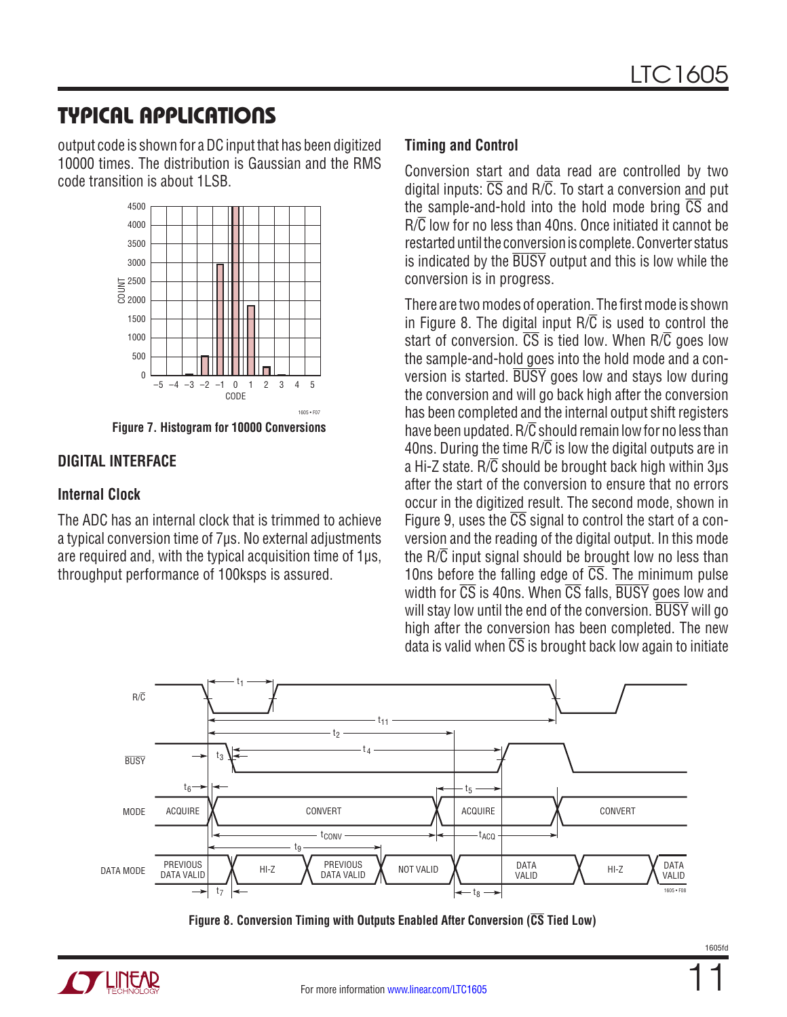## TYPICAL APPLICATIONS

output code is shown for a DC input that has been digitized 10000 times. The distribution is Gaussian and the RMS code transition is about 1LSB.



**Figure 7. Histogram for 10000 Conversions**

### **DIGITAL INTERFACE**

#### **Internal Clock**

The ADC has an internal clock that is trimmed to achieve a typical conversion time of 7µs. No external adjustments are required and, with the typical acquisition time of 1µs, throughput performance of 100ksps is assured.

### **Timing and Control**

Conversion start and data read are controlled by two digital inputs:  $\overline{CS}$  and  $R/\overline{C}$ . To start a conversion and put the sample-and-hold into the hold mode bring  $\overline{CS}$  and R/C low for no less than 40ns. Once initiated it cannot be restarted until the conversion is complete. Converter status is indicated by the BUSY output and this is low while the conversion is in progress.

There are two modes of operation. The first mode is shown in Figure 8. The digital input  $R/\overline{C}$  is used to control the start of conversion.  $\overline{CS}$  is tied low. When  $R/\overline{C}$  goes low the sample-and-hold goes into the hold mode and a conversion is started. BUSY goes low and stays low during the conversion and will go back high after the conversion has been completed and the internal output shift registers have been updated.  $R/\overline{C}$  should remain low for no less than 40ns. During the time  $R/\overline{C}$  is low the digital outputs are in a Hi-Z state.  $R/\overline{C}$  should be brought back high within 3us after the start of the conversion to ensure that no errors occur in the digitized result. The second mode, shown in Figure 9, uses the  $\overline{CS}$  signal to control the start of a conversion and the reading of the digital output. In this mode the  $R/\overline{C}$  input signal should be brought low no less than 10ns before the falling edge of  $\overline{CS}$ . The minimum pulse width for  $\overline{\text{CS}}$  is 40ns. When  $\overline{\text{CS}}$  falls,  $\overline{\text{BUSY}}$  goes low and will stay low until the end of the conversion. BUSY will go high after the conversion has been completed. The new data is valid when  $\overline{CS}$  is brought back low again to initiate



**Figure 8. Conversion Timing with Outputs Enabled After Conversion (CS Tied Low)**

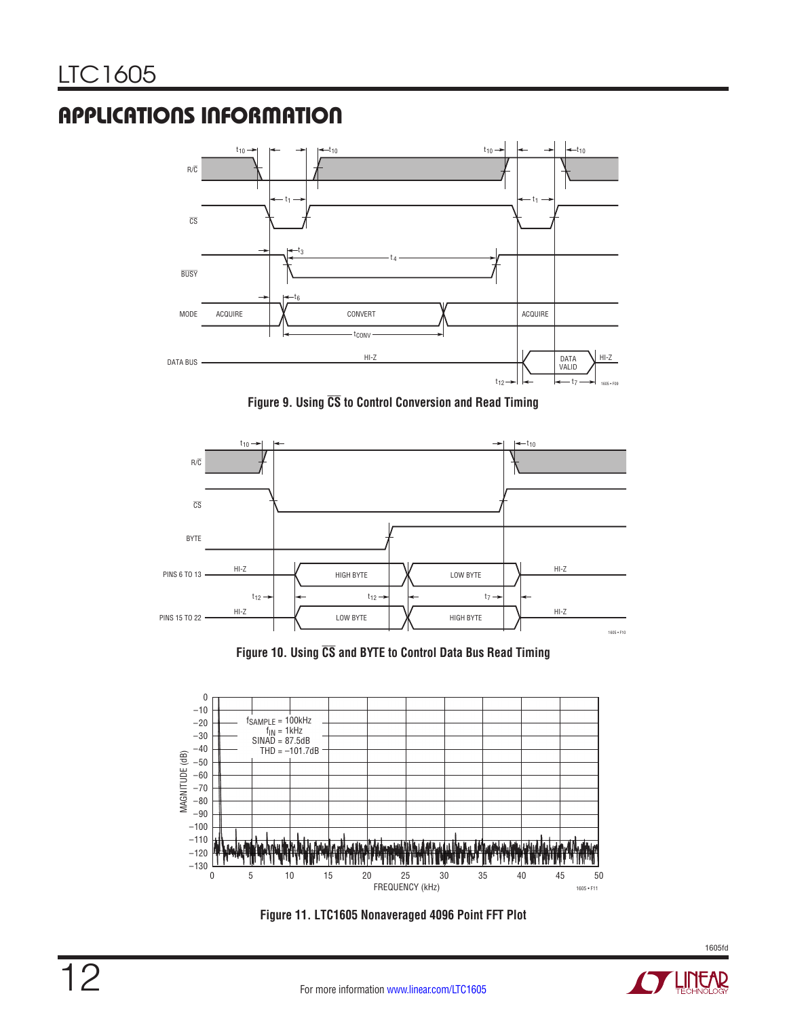

**Figure 9. Using CS to Control Conversion and Read Timing**



**Figure 10. Using CS and BYTE to Control Data Bus Read Timing**



**Figure 11. LTC1605 Nonaveraged 4096 Point FFT Plot**

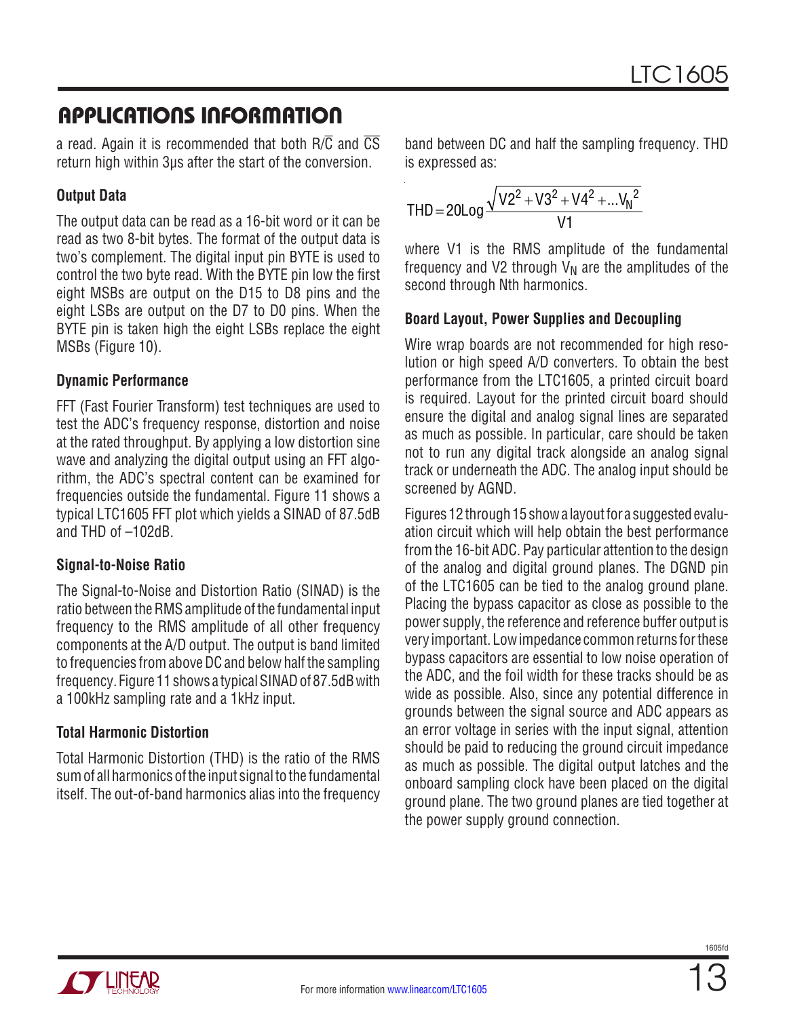a read. Again it is recommended that both  $R/\overline{C}$  and  $\overline{CS}$ return high within 3µs after the start of the conversion.

### **Output Data**

The output data can be read as a 16-bit word or it can be read as two 8-bit bytes. The format of the output data is two's complement. The digital input pin BYTE is used to control the two byte read. With the BYTE pin low the first eight MSBs are output on the D15 to D8 pins and the eight LSBs are output on the D7 to D0 pins. When the BYTE pin is taken high the eight LSBs replace the eight MSBs (Figure 10).

### **Dynamic Performance**

FFT (Fast Fourier Transform) test techniques are used to test the ADC's frequency response, distortion and noise at the rated throughput. By applying a low distortion sine wave and analyzing the digital output using an FFT algorithm, the ADC's spectral content can be examined for frequencies outside the fundamental. Figure 11 shows a typical LTC1605 FFT plot which yields a SINAD of 87.5dB and THD of –102dB.

### **Signal-to-Noise Ratio**

The Signal-to-Noise and Distortion Ratio (SINAD) is the ratio between the RMS amplitude of the fundamental input frequency to the RMS amplitude of all other frequency components at the A/D output. The output is band limited to frequencies from above DC and below half the sampling frequency. Figure 11 shows a typical SINAD of 87.5dB with a 100kHz sampling rate and a 1kHz input.

### **Total Harmonic Distortion**

Total Harmonic Distortion (THD) is the ratio of the RMS sum of all harmonics of the input signal to the fundamental itself. The out-of-band harmonics alias into the frequency band between DC and half the sampling frequency. THD is expressed as:

$$
THD = 20Log \frac{\sqrt{V2^2 + V3^2 + V4^2 + ... V_N^2}}{V1}
$$

where V1 is the RMS amplitude of the fundamental frequency and V2 through  $V_N$  are the amplitudes of the second through Nth harmonics.

#### **Board Layout, Power Supplies and Decoupling**

Wire wrap boards are not recommended for high resolution or high speed A/D converters. To obtain the best performance from the LTC1605, a printed circuit board is required. Layout for the printed circuit board should ensure the digital and analog signal lines are separated as much as possible. In particular, care should be taken not to run any digital track alongside an analog signal track or underneath the ADC. The analog input should be screened by AGND.

Figures 12 through 15 show a layout for a suggested evaluation circuit which will help obtain the best performance from the 16-bit ADC. Pay particular attention to the design of the analog and digital ground planes. The DGND pin of the LTC1605 can be tied to the analog ground plane. Placing the bypass capacitor as close as possible to the power supply, the reference and reference buffer output is very important. Low impedance common returns for these bypass capacitors are essential to low noise operation of the ADC, and the foil width for these tracks should be as wide as possible. Also, since any potential difference in grounds between the signal source and ADC appears as an error voltage in series with the input signal, attention should be paid to reducing the ground circuit impedance as much as possible. The digital output latches and the onboard sampling clock have been placed on the digital ground plane. The two ground planes are tied together at the power supply ground connection.



1605fr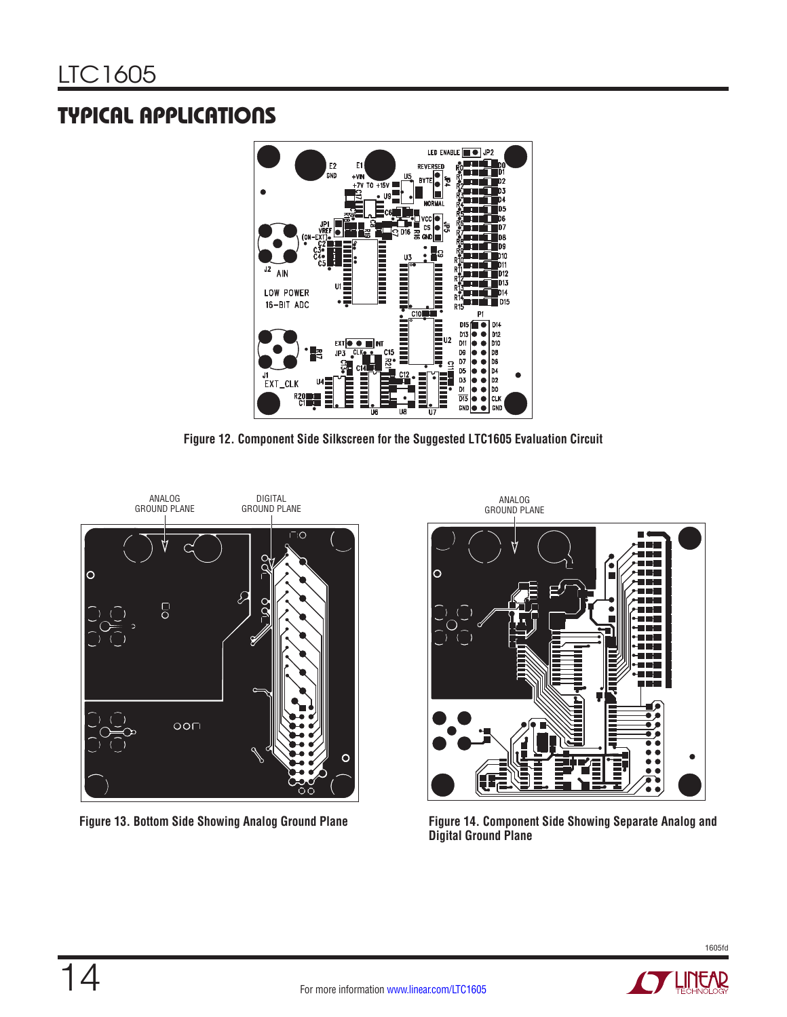# TYPICAL APPLICATIONS



**Figure 12. Component Side Silkscreen for the Suggested LTC1605 Evaluation Circuit**





**Figure 13. Bottom Side Showing Analog Ground Plane Figure 14. Component Side Showing Separate Analog and Digital Ground Plane**

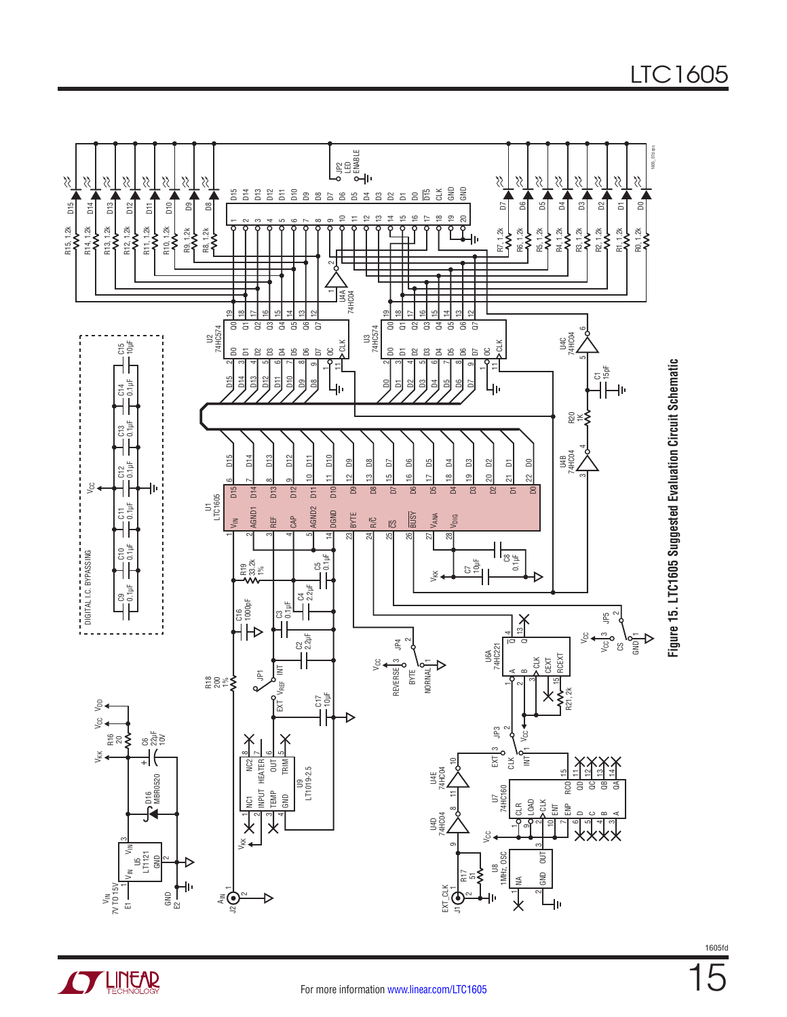



**STARTED LINEAR**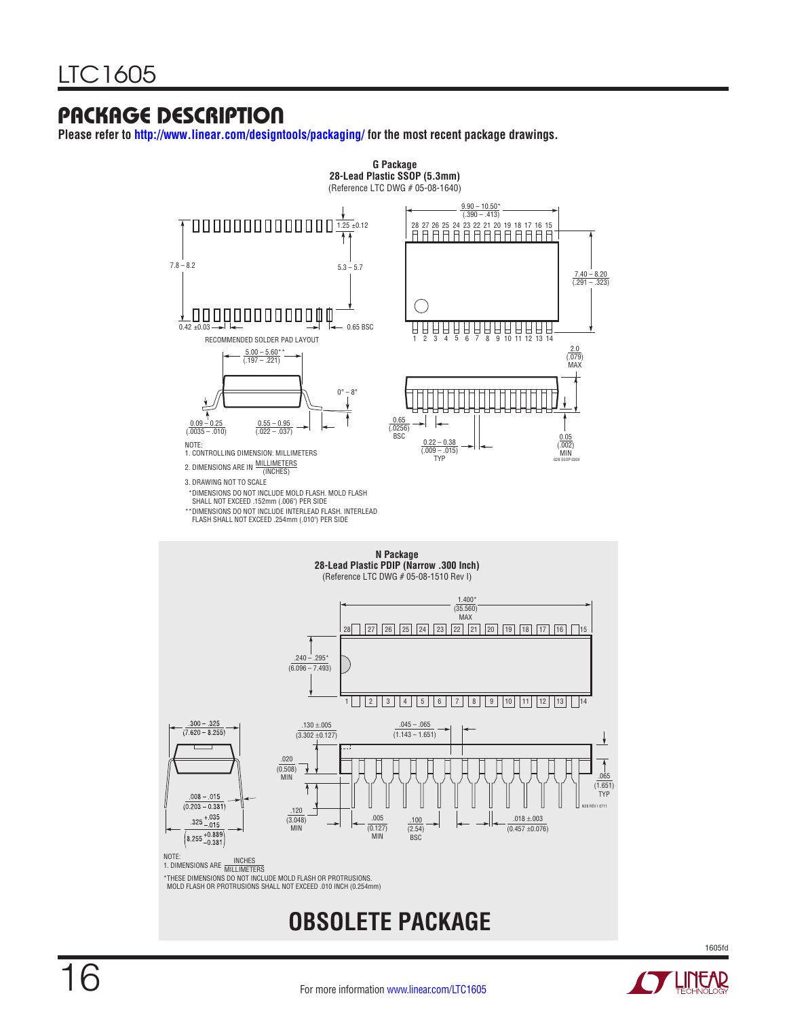### PACKAGE DESCRIPTION

**Please refer to <http://www.linear.com/designtools/packaging/>for the most recent package drawings.**



**OBSOLETE PACKAGE**

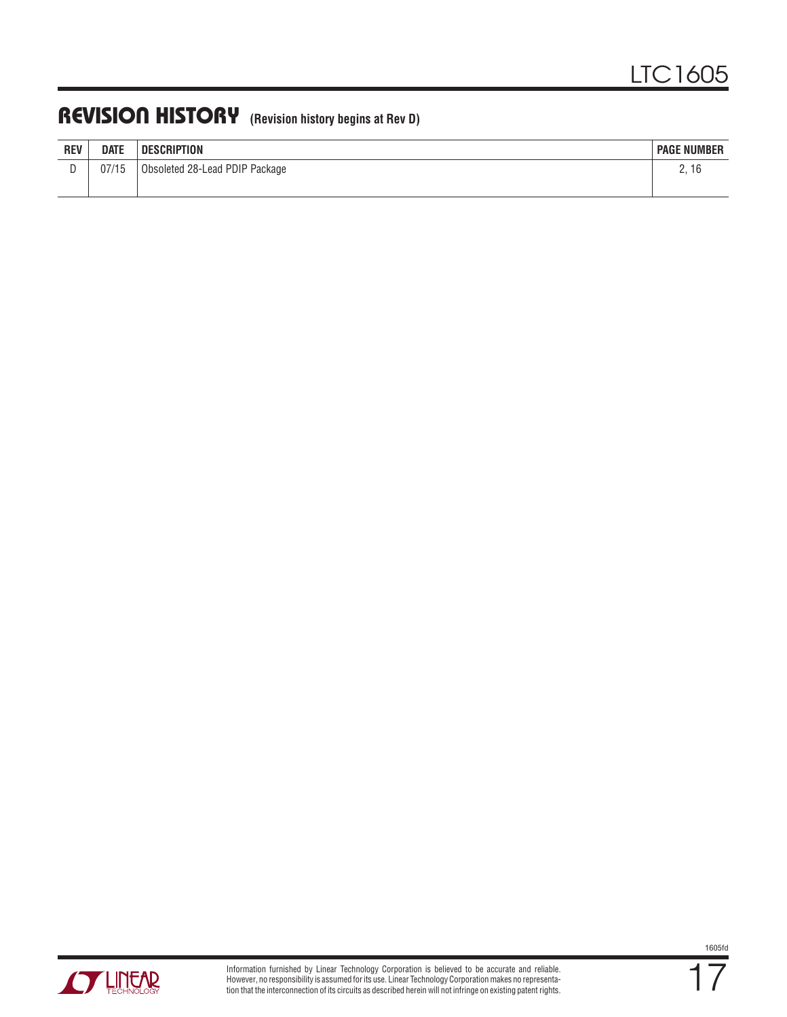### REVISION HISTORY **(Revision history begins at Rev D)**

| <b>REV</b> | <b>DATE</b> | <b>DESCRIPTION</b>             | <b>PAGE NUMBER</b> |
|------------|-------------|--------------------------------|--------------------|
| ∼          | 07/15       | Obsoleted 28-Lead PDIP Package | 2, 16              |
|            |             |                                |                    |